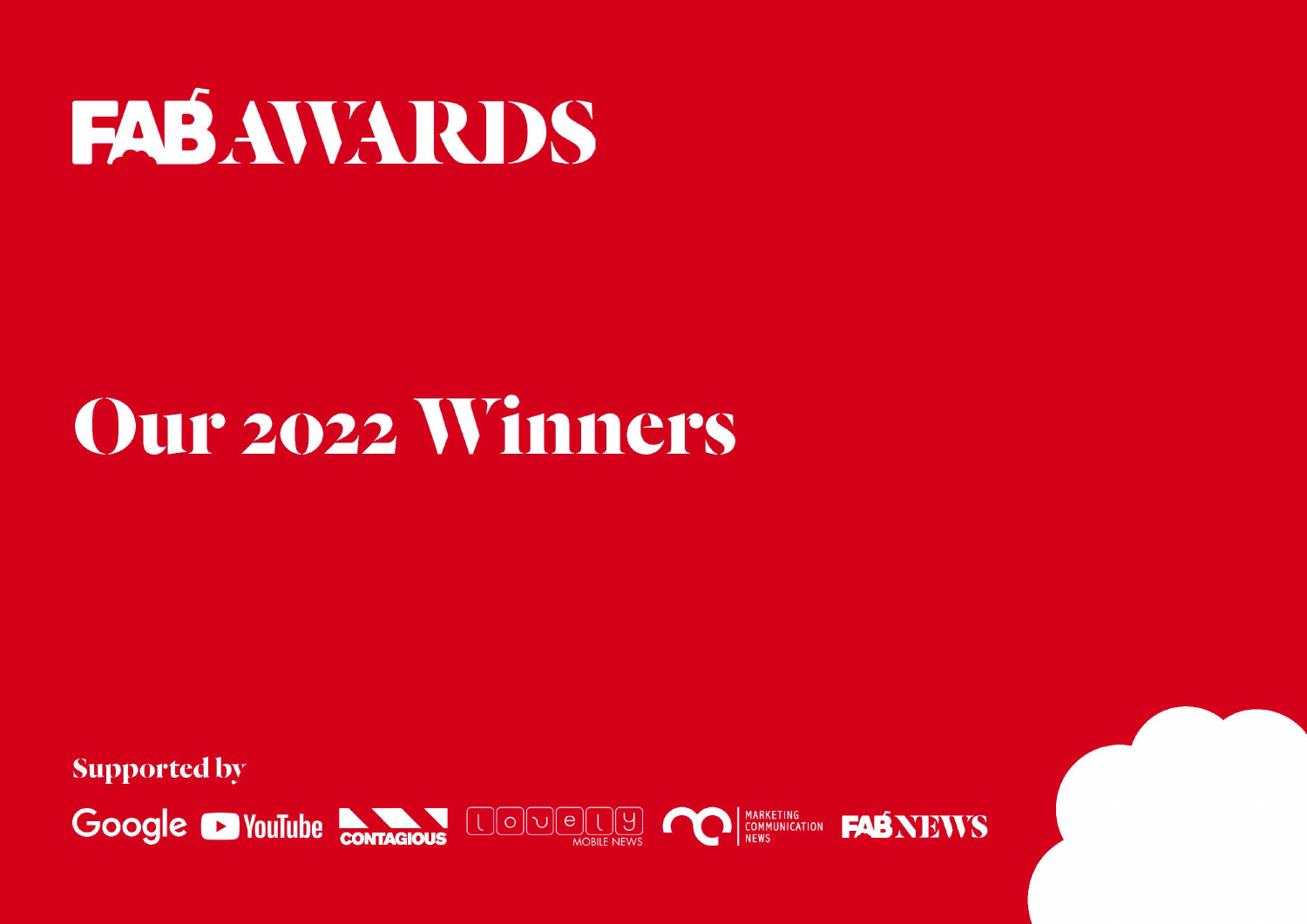#### **FAB AWARDS**

#### Our 2022 Winners

**Supported by** 

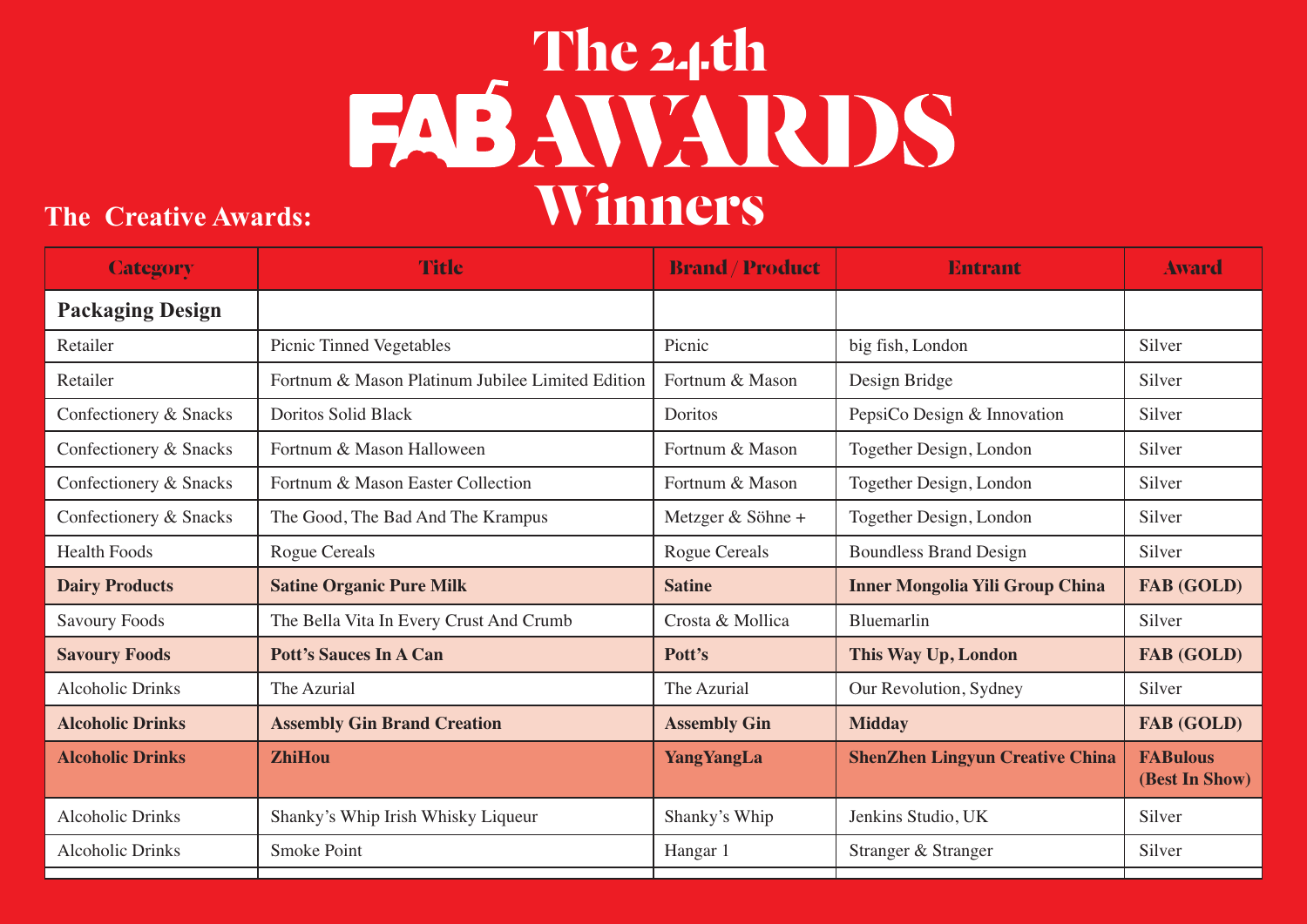# The 24th<br> **FAB AWARDS Winners**

#### **The Creative Awards:**

| <b>Category</b>         | <b>Title</b>                                     | <b>Brand / Product</b> | <b>Entrant</b>                         | <b>Award</b>                      |
|-------------------------|--------------------------------------------------|------------------------|----------------------------------------|-----------------------------------|
| <b>Packaging Design</b> |                                                  |                        |                                        |                                   |
| Retailer                | <b>Picnic Tinned Vegetables</b>                  | Picnic                 | big fish, London                       | Silver                            |
| Retailer                | Fortnum & Mason Platinum Jubilee Limited Edition | Fortnum & Mason        | Design Bridge                          | Silver                            |
| Confectionery & Snacks  | <b>Doritos Solid Black</b>                       | Doritos                | PepsiCo Design & Innovation            | Silver                            |
| Confectionery & Snacks  | Fortnum & Mason Halloween                        | Fortnum & Mason        | Together Design, London                | Silver                            |
| Confectionery & Snacks  | Fortnum & Mason Easter Collection                | Fortnum & Mason        | Together Design, London                | Silver                            |
| Confectionery & Snacks  | The Good, The Bad And The Krampus                | Metzger & Söhne +      | Together Design, London                | Silver                            |
| <b>Health Foods</b>     | <b>Rogue Cereals</b>                             | <b>Rogue Cereals</b>   | <b>Boundless Brand Design</b>          | Silver                            |
| <b>Dairy Products</b>   | <b>Satine Organic Pure Milk</b>                  | <b>Satine</b>          | <b>Inner Mongolia Yili Group China</b> | <b>FAB</b> (GOLD)                 |
| Savoury Foods           | The Bella Vita In Every Crust And Crumb          | Crosta & Mollica       | Bluemarlin                             | Silver                            |
| <b>Savoury Foods</b>    | <b>Pott's Sauces In A Can</b>                    | Pott's                 | This Way Up, London                    | <b>FAB</b> (GOLD)                 |
| <b>Alcoholic Drinks</b> | The Azurial                                      | The Azurial            | Our Revolution, Sydney                 | Silver                            |
| <b>Alcoholic Drinks</b> | <b>Assembly Gin Brand Creation</b>               | <b>Assembly Gin</b>    | <b>Midday</b>                          | <b>FAB</b> (GOLD)                 |
| <b>Alcoholic Drinks</b> | <b>ZhiHou</b>                                    | <b>YangYangLa</b>      | <b>ShenZhen Lingyun Creative China</b> | <b>FABulous</b><br>(Best In Show) |
| <b>Alcoholic Drinks</b> | Shanky's Whip Irish Whisky Liqueur               | Shanky's Whip          | Jenkins Studio, UK                     | Silver                            |
| <b>Alcoholic Drinks</b> | Smoke Point                                      | Hangar 1               | Stranger & Stranger                    | Silver                            |
|                         |                                                  |                        |                                        |                                   |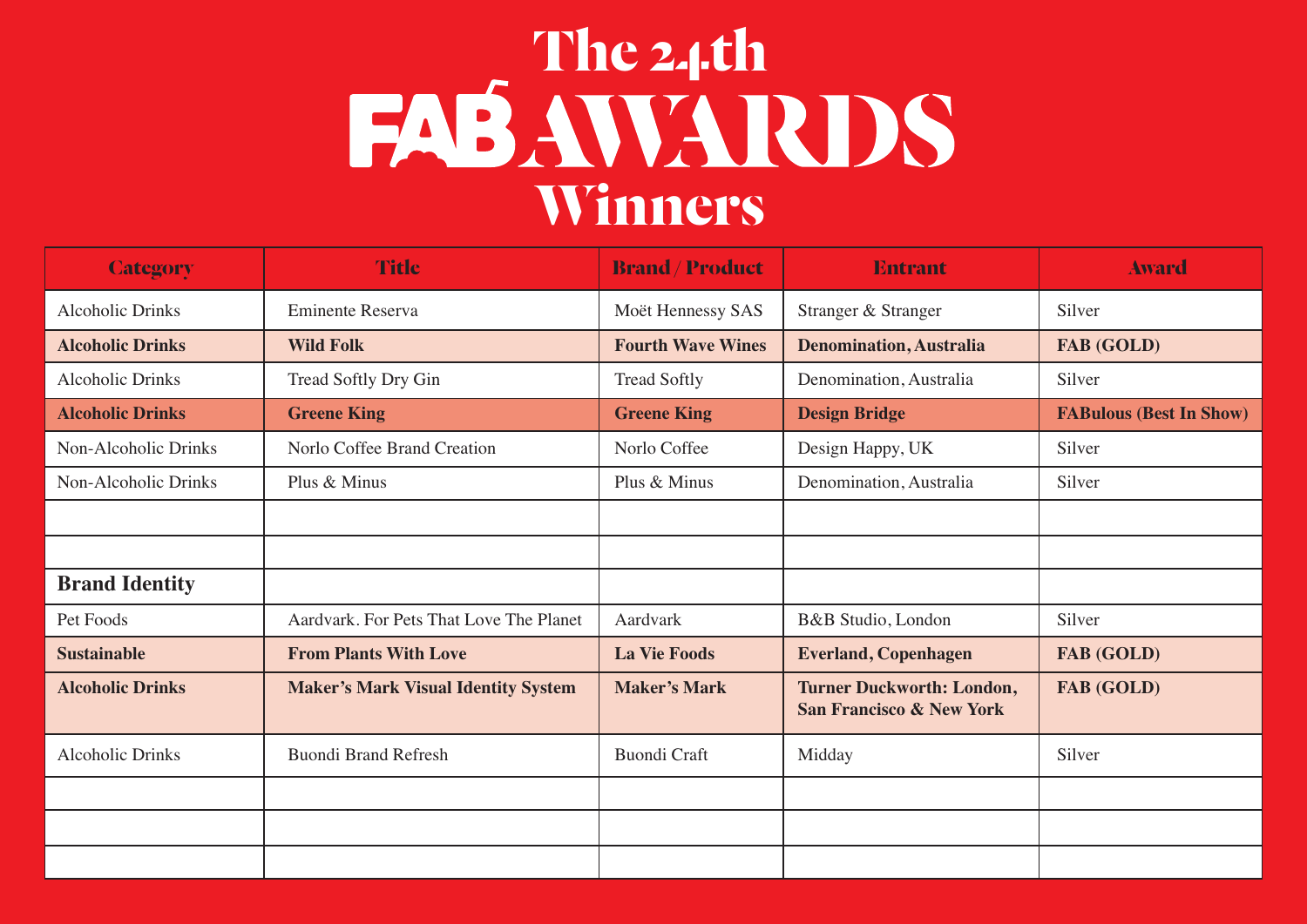# The 24th<br> **FAB AWARDS Winners**

| <b>Category</b>         | <b>Title</b>                               | <b>Brand / Product</b>   | <b>Entrant</b>                                                          | <b>Award</b>                   |
|-------------------------|--------------------------------------------|--------------------------|-------------------------------------------------------------------------|--------------------------------|
| <b>Alcoholic Drinks</b> | Eminente Reserva                           | Moët Hennessy SAS        | Stranger & Stranger                                                     | Silver                         |
| <b>Alcoholic Drinks</b> | <b>Wild Folk</b>                           | <b>Fourth Wave Wines</b> | <b>Denomination, Australia</b>                                          | <b>FAB</b> (GOLD)              |
| <b>Alcoholic Drinks</b> | Tread Softly Dry Gin                       | <b>Tread Softly</b>      | Denomination, Australia                                                 | Silver                         |
| <b>Alcoholic Drinks</b> | <b>Greene King</b>                         | <b>Greene King</b>       | <b>Design Bridge</b>                                                    | <b>FABulous (Best In Show)</b> |
| Non-Alcoholic Drinks    | Norlo Coffee Brand Creation                | Norlo Coffee             | Design Happy, UK                                                        | Silver                         |
| Non-Alcoholic Drinks    | Plus & Minus                               | Plus & Minus             | Denomination, Australia                                                 | Silver                         |
|                         |                                            |                          |                                                                         |                                |
|                         |                                            |                          |                                                                         |                                |
| <b>Brand Identity</b>   |                                            |                          |                                                                         |                                |
| Pet Foods               | Aardvark. For Pets That Love The Planet    | Aardvark                 | B&B Studio, London                                                      | Silver                         |
| <b>Sustainable</b>      | <b>From Plants With Love</b>               | <b>La Vie Foods</b>      | <b>Everland, Copenhagen</b>                                             | <b>FAB</b> (GOLD)              |
| <b>Alcoholic Drinks</b> | <b>Maker's Mark Visual Identity System</b> | <b>Maker's Mark</b>      | <b>Turner Duckworth: London,</b><br><b>San Francisco &amp; New York</b> | <b>FAB</b> (GOLD)              |
| <b>Alcoholic Drinks</b> | <b>Buondi Brand Refresh</b>                | <b>Buondi Craft</b>      | Midday                                                                  | Silver                         |
|                         |                                            |                          |                                                                         |                                |
|                         |                                            |                          |                                                                         |                                |
|                         |                                            |                          |                                                                         |                                |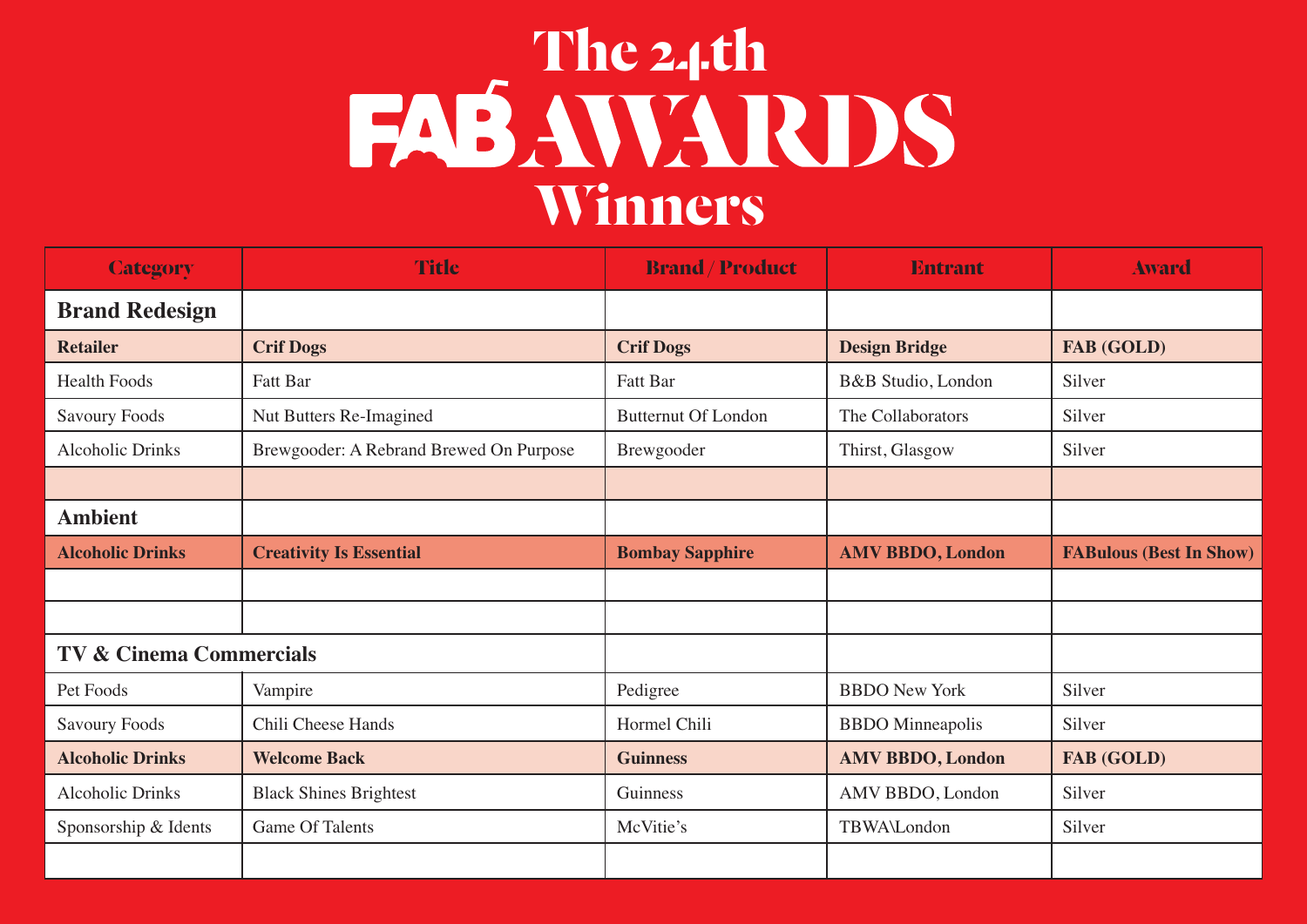## **FABAWARDS Winners**

| <b>Category</b>                    | <b>Title</b>                            | <b>Brand / Product</b>     | <b>Entrant</b>          | <b>Award</b>                   |
|------------------------------------|-----------------------------------------|----------------------------|-------------------------|--------------------------------|
| <b>Brand Redesign</b>              |                                         |                            |                         |                                |
| <b>Retailer</b>                    | <b>Crif Dogs</b>                        | <b>Crif Dogs</b>           | <b>Design Bridge</b>    | <b>FAB</b> (GOLD)              |
| <b>Health Foods</b>                | Fatt Bar                                | Fatt Bar                   | B&B Studio, London      | Silver                         |
| <b>Savoury Foods</b>               | Nut Butters Re-Imagined                 | <b>Butternut Of London</b> | The Collaborators       | Silver                         |
| <b>Alcoholic Drinks</b>            | Brewgooder: A Rebrand Brewed On Purpose | Brewgooder                 | Thirst, Glasgow         | Silver                         |
|                                    |                                         |                            |                         |                                |
| <b>Ambient</b>                     |                                         |                            |                         |                                |
| <b>Alcoholic Drinks</b>            | <b>Creativity Is Essential</b>          | <b>Bombay Sapphire</b>     | <b>AMV BBDO, London</b> | <b>FABulous (Best In Show)</b> |
|                                    |                                         |                            |                         |                                |
|                                    |                                         |                            |                         |                                |
| <b>TV &amp; Cinema Commercials</b> |                                         |                            |                         |                                |
| Pet Foods                          | Vampire                                 | Pedigree                   | <b>BBDO</b> New York    | Silver                         |
| <b>Savoury Foods</b>               | Chili Cheese Hands                      | Hormel Chili               | <b>BBDO</b> Minneapolis | Silver                         |
| <b>Alcoholic Drinks</b>            | <b>Welcome Back</b>                     | <b>Guinness</b>            | <b>AMV BBDO, London</b> | <b>FAB</b> (GOLD)              |
| <b>Alcoholic Drinks</b>            | <b>Black Shines Brightest</b>           | Guinness                   | AMV BBDO, London        | Silver                         |
| Sponsorship & Idents               | Game Of Talents                         | McVitie's                  | <b>TBWA\London</b>      | Silver                         |
|                                    |                                         |                            |                         |                                |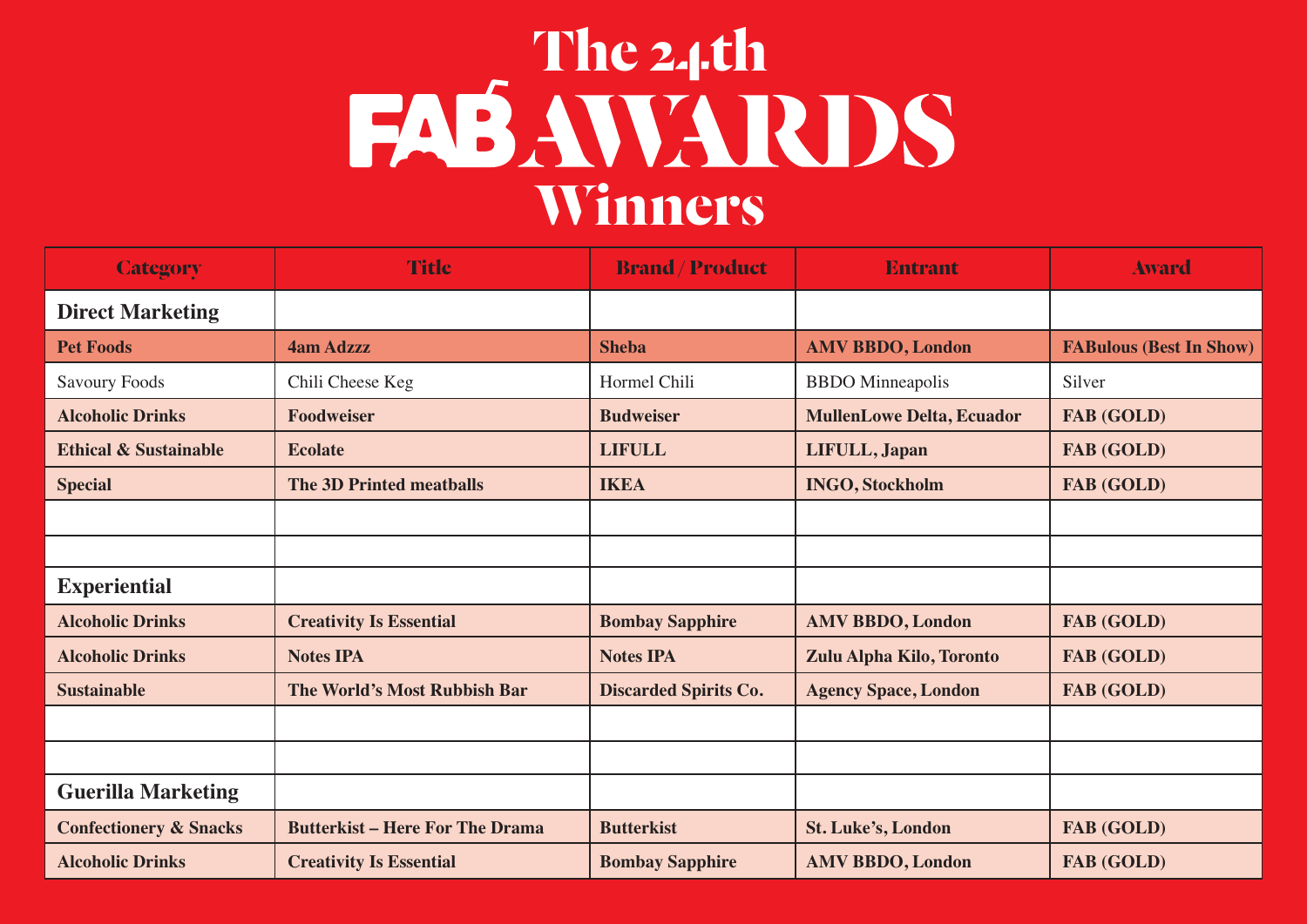# **The 24th**<br> **FABAWARDS Winners**

| <b>Category</b>                   | <b>Title</b>                           | <b>Brand/Product</b>         | <b>Entrant</b>                   | <b>Award</b>                   |
|-----------------------------------|----------------------------------------|------------------------------|----------------------------------|--------------------------------|
| <b>Direct Marketing</b>           |                                        |                              |                                  |                                |
| <b>Pet Foods</b>                  | <b>4am Adzzz</b>                       | <b>Sheba</b>                 | <b>AMV BBDO, London</b>          | <b>FABulous (Best In Show)</b> |
| <b>Savoury Foods</b>              | Chili Cheese Keg                       | Hormel Chili                 | <b>BBDO</b> Minneapolis          | Silver                         |
| <b>Alcoholic Drinks</b>           | <b>Foodweiser</b>                      | <b>Budweiser</b>             | <b>MullenLowe Delta, Ecuador</b> | <b>FAB</b> (GOLD)              |
| <b>Ethical &amp; Sustainable</b>  | <b>Ecolate</b>                         | <b>LIFULL</b>                | LIFULL, Japan                    | <b>FAB</b> (GOLD)              |
| <b>Special</b>                    | <b>The 3D Printed meatballs</b>        | <b>IKEA</b>                  | <b>INGO, Stockholm</b>           | <b>FAB</b> (GOLD)              |
|                                   |                                        |                              |                                  |                                |
|                                   |                                        |                              |                                  |                                |
| <b>Experiential</b>               |                                        |                              |                                  |                                |
| <b>Alcoholic Drinks</b>           | <b>Creativity Is Essential</b>         | <b>Bombay Sapphire</b>       | <b>AMV BBDO, London</b>          | <b>FAB</b> (GOLD)              |
| <b>Alcoholic Drinks</b>           | <b>Notes IPA</b>                       | <b>Notes IPA</b>             | Zulu Alpha Kilo, Toronto         | <b>FAB</b> (GOLD)              |
| <b>Sustainable</b>                | The World's Most Rubbish Bar           | <b>Discarded Spirits Co.</b> | <b>Agency Space, London</b>      | <b>FAB</b> (GOLD)              |
|                                   |                                        |                              |                                  |                                |
|                                   |                                        |                              |                                  |                                |
| <b>Guerilla Marketing</b>         |                                        |                              |                                  |                                |
| <b>Confectionery &amp; Snacks</b> | <b>Butterkist - Here For The Drama</b> | <b>Butterkist</b>            | <b>St. Luke's, London</b>        | <b>FAB</b> (GOLD)              |
| <b>Alcoholic Drinks</b>           | <b>Creativity Is Essential</b>         | <b>Bombay Sapphire</b>       | <b>AMV BBDO, London</b>          | <b>FAB</b> (GOLD)              |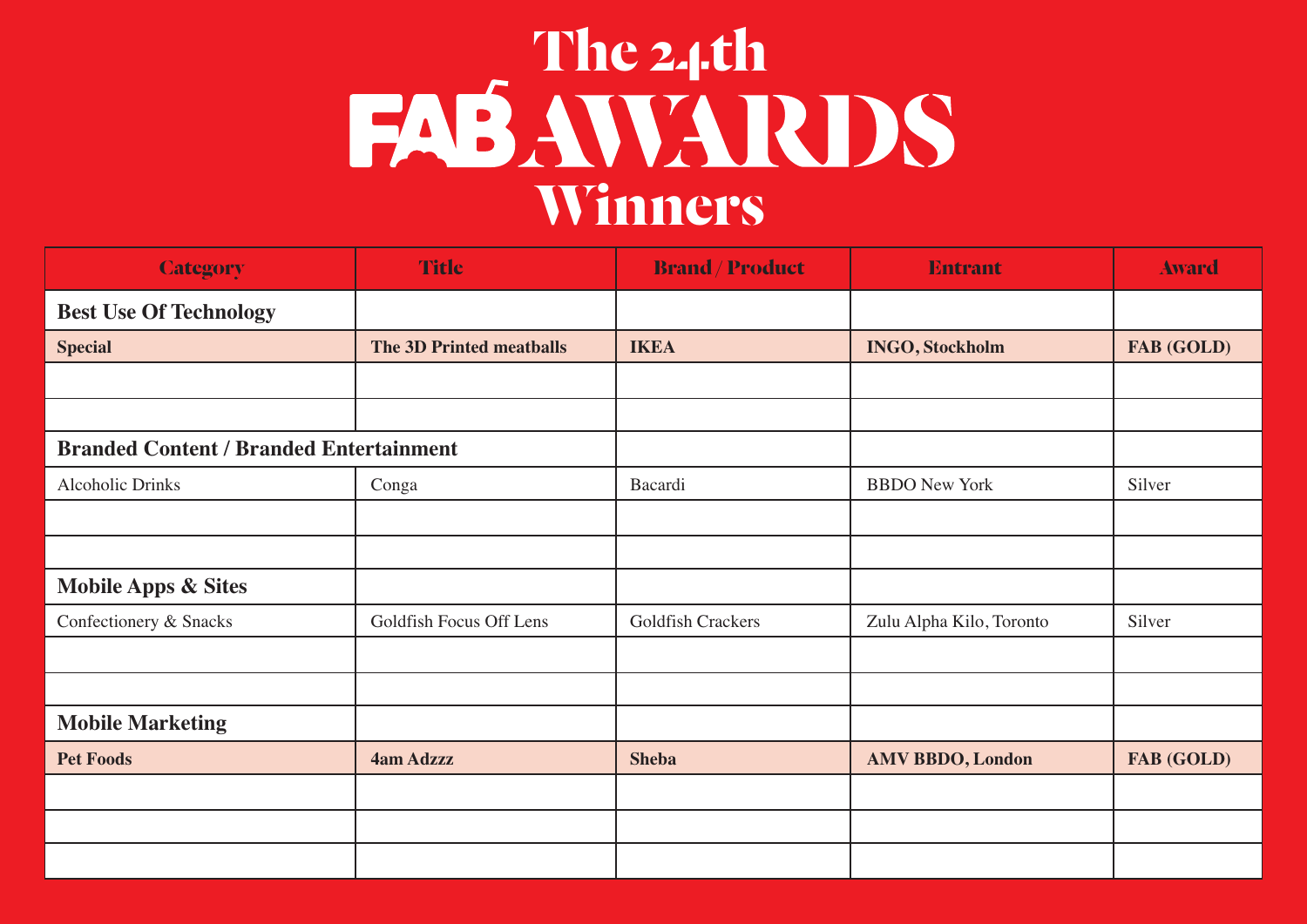# **FASAWARDS Winners**

| <b>Category</b>                                | <b>Title</b>                    | <b>Brand/Product</b> | <b>Entrant</b>           | <b>Award</b>      |
|------------------------------------------------|---------------------------------|----------------------|--------------------------|-------------------|
| <b>Best Use Of Technology</b>                  |                                 |                      |                          |                   |
| <b>Special</b>                                 | <b>The 3D Printed meatballs</b> | <b>IKEA</b>          | <b>INGO, Stockholm</b>   | <b>FAB</b> (GOLD) |
|                                                |                                 |                      |                          |                   |
|                                                |                                 |                      |                          |                   |
| <b>Branded Content / Branded Entertainment</b> |                                 |                      |                          |                   |
| <b>Alcoholic Drinks</b>                        | Conga                           | Bacardi              | <b>BBDO</b> New York     | Silver            |
|                                                |                                 |                      |                          |                   |
|                                                |                                 |                      |                          |                   |
| <b>Mobile Apps &amp; Sites</b>                 |                                 |                      |                          |                   |
| Confectionery & Snacks                         | Goldfish Focus Off Lens         | Goldfish Crackers    | Zulu Alpha Kilo, Toronto | Silver            |
|                                                |                                 |                      |                          |                   |
|                                                |                                 |                      |                          |                   |
| <b>Mobile Marketing</b>                        |                                 |                      |                          |                   |
| <b>Pet Foods</b>                               | <b>4am Adzzz</b>                | <b>Sheba</b>         | <b>AMV BBDO, London</b>  | <b>FAB</b> (GOLD) |
|                                                |                                 |                      |                          |                   |
|                                                |                                 |                      |                          |                   |
|                                                |                                 |                      |                          |                   |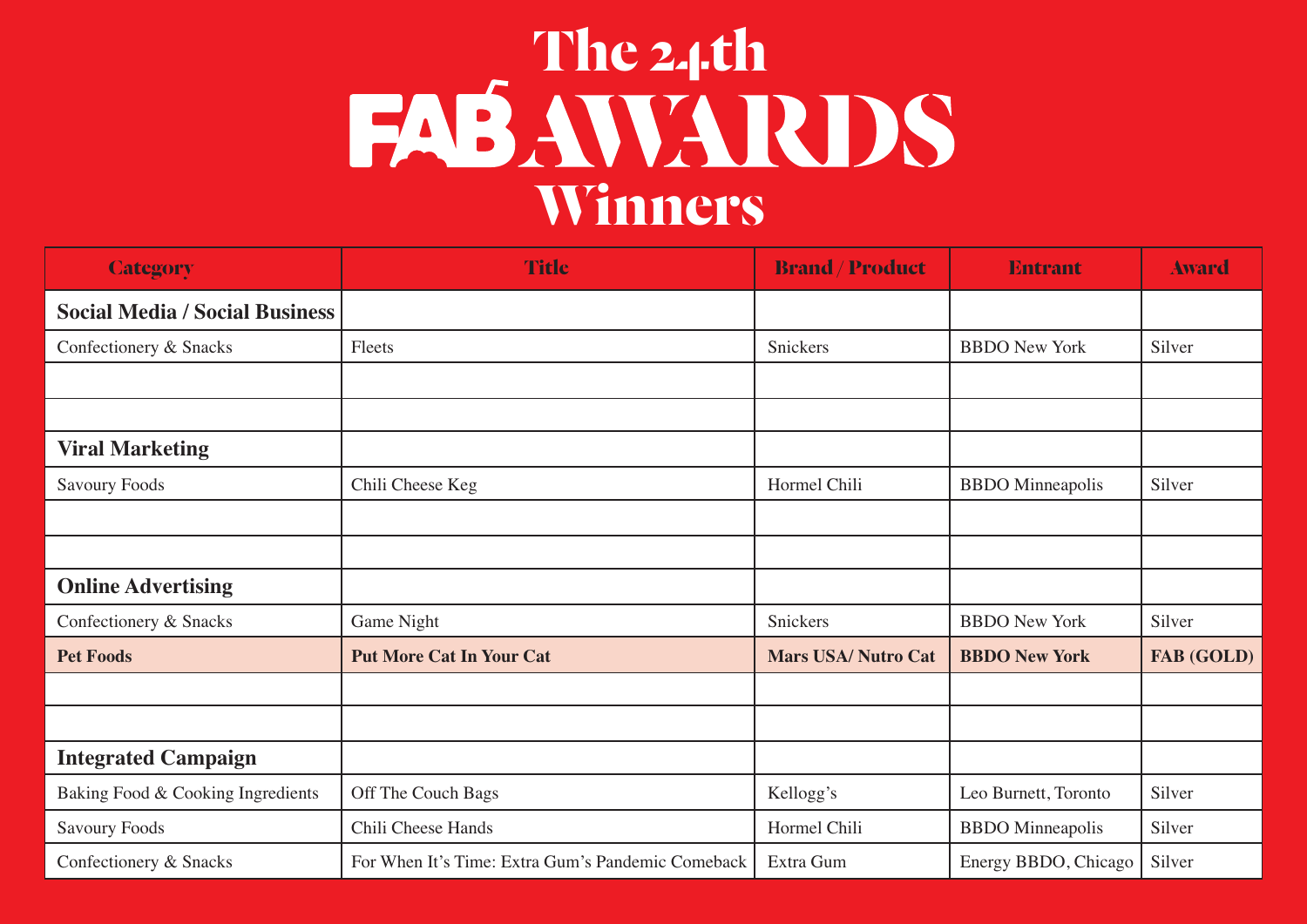### **FABAWARDS Winners**

| <b>Category</b>                       | <b>Title</b>                                      | <b>Brand / Product</b>     | <b>Entrant</b>          | <b>Award</b>      |
|---------------------------------------|---------------------------------------------------|----------------------------|-------------------------|-------------------|
| <b>Social Media / Social Business</b> |                                                   |                            |                         |                   |
| Confectionery & Snacks                | Fleets                                            | Snickers                   | <b>BBDO</b> New York    | Silver            |
|                                       |                                                   |                            |                         |                   |
|                                       |                                                   |                            |                         |                   |
| <b>Viral Marketing</b>                |                                                   |                            |                         |                   |
| Savoury Foods                         | Chili Cheese Keg                                  | Hormel Chili               | <b>BBDO</b> Minneapolis | Silver            |
|                                       |                                                   |                            |                         |                   |
|                                       |                                                   |                            |                         |                   |
| <b>Online Advertising</b>             |                                                   |                            |                         |                   |
| Confectionery & Snacks                | Game Night                                        | Snickers                   | <b>BBDO</b> New York    | Silver            |
| <b>Pet Foods</b>                      | <b>Put More Cat In Your Cat</b>                   | <b>Mars USA/ Nutro Cat</b> | <b>BBDO New York</b>    | <b>FAB</b> (GOLD) |
|                                       |                                                   |                            |                         |                   |
|                                       |                                                   |                            |                         |                   |
| <b>Integrated Campaign</b>            |                                                   |                            |                         |                   |
| Baking Food & Cooking Ingredients     | Off The Couch Bags                                | Kellogg's                  | Leo Burnett, Toronto    | Silver            |
| <b>Savoury Foods</b>                  | Chili Cheese Hands                                | Hormel Chili               | <b>BBDO</b> Minneapolis | Silver            |
| Confectionery & Snacks                | For When It's Time: Extra Gum's Pandemic Comeback | Extra Gum                  | Energy BBDO, Chicago    | Silver            |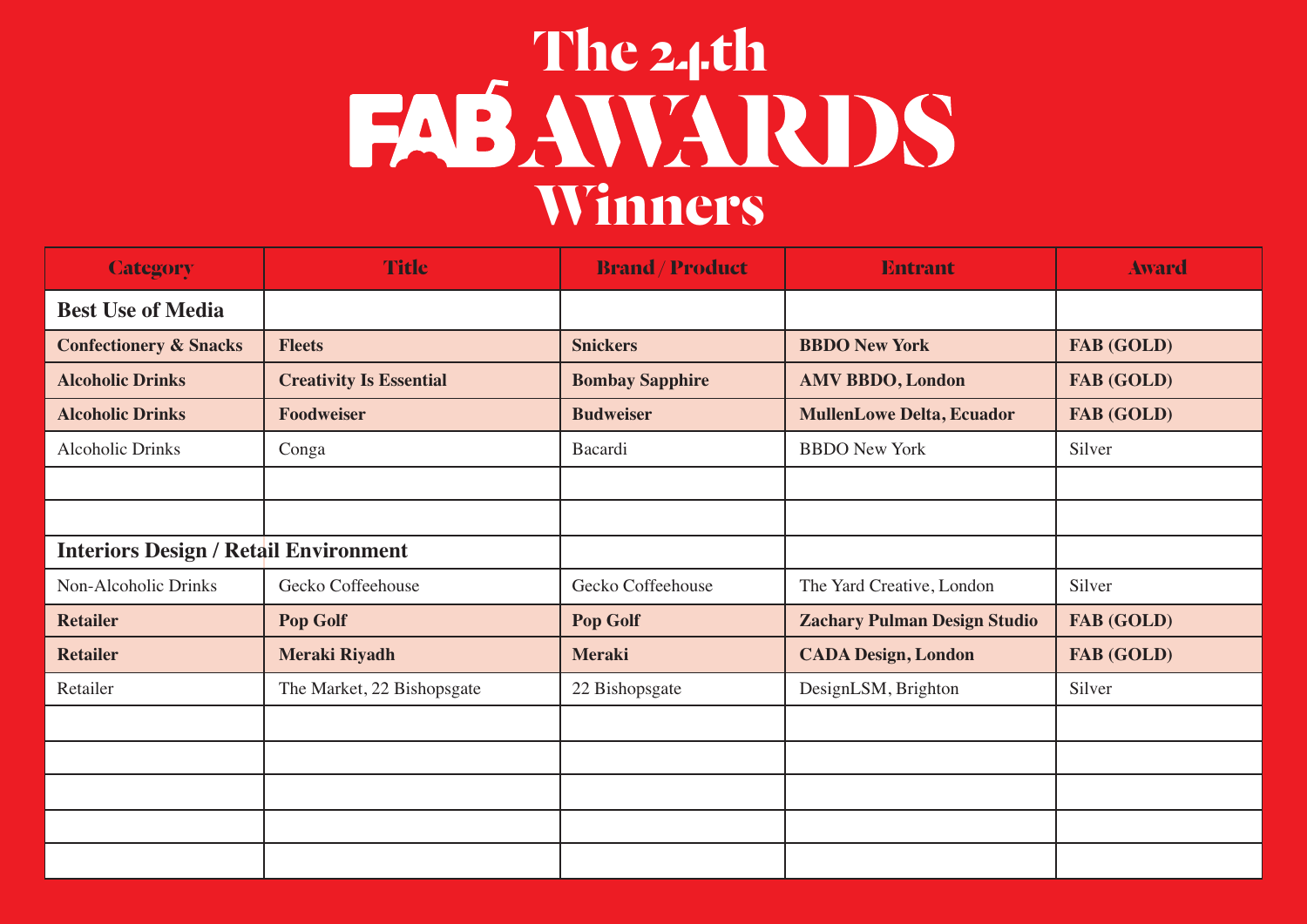# **FASAWARDS Winners**

| <b>Category</b>                              | <b>Title</b>                   | <b>Brand/Product</b>   | <b>Entrant</b>                      | <b>Award</b>      |
|----------------------------------------------|--------------------------------|------------------------|-------------------------------------|-------------------|
| <b>Best Use of Media</b>                     |                                |                        |                                     |                   |
| <b>Confectionery &amp; Snacks</b>            | <b>Fleets</b>                  | <b>Snickers</b>        | <b>BBDO New York</b>                | <b>FAB</b> (GOLD) |
| <b>Alcoholic Drinks</b>                      | <b>Creativity Is Essential</b> | <b>Bombay Sapphire</b> | <b>AMV BBDO, London</b>             | <b>FAB</b> (GOLD) |
| <b>Alcoholic Drinks</b>                      | Foodweiser                     | <b>Budweiser</b>       | <b>MullenLowe Delta, Ecuador</b>    | <b>FAB</b> (GOLD) |
| <b>Alcoholic Drinks</b>                      | Conga                          | Bacardi                | <b>BBDO</b> New York                | Silver            |
|                                              |                                |                        |                                     |                   |
|                                              |                                |                        |                                     |                   |
| <b>Interiors Design / Retail Environment</b> |                                |                        |                                     |                   |
| Non-Alcoholic Drinks                         | Gecko Coffeehouse              | Gecko Coffeehouse      | The Yard Creative, London           | Silver            |
| <b>Retailer</b>                              | Pop Golf                       | Pop Golf               | <b>Zachary Pulman Design Studio</b> | <b>FAB</b> (GOLD) |
| <b>Retailer</b>                              | Meraki Riyadh                  | <b>Meraki</b>          | <b>CADA Design, London</b>          | <b>FAB</b> (GOLD) |
| Retailer                                     | The Market, 22 Bishopsgate     | 22 Bishopsgate         | DesignLSM, Brighton                 | Silver            |
|                                              |                                |                        |                                     |                   |
|                                              |                                |                        |                                     |                   |
|                                              |                                |                        |                                     |                   |
|                                              |                                |                        |                                     |                   |
|                                              |                                |                        |                                     |                   |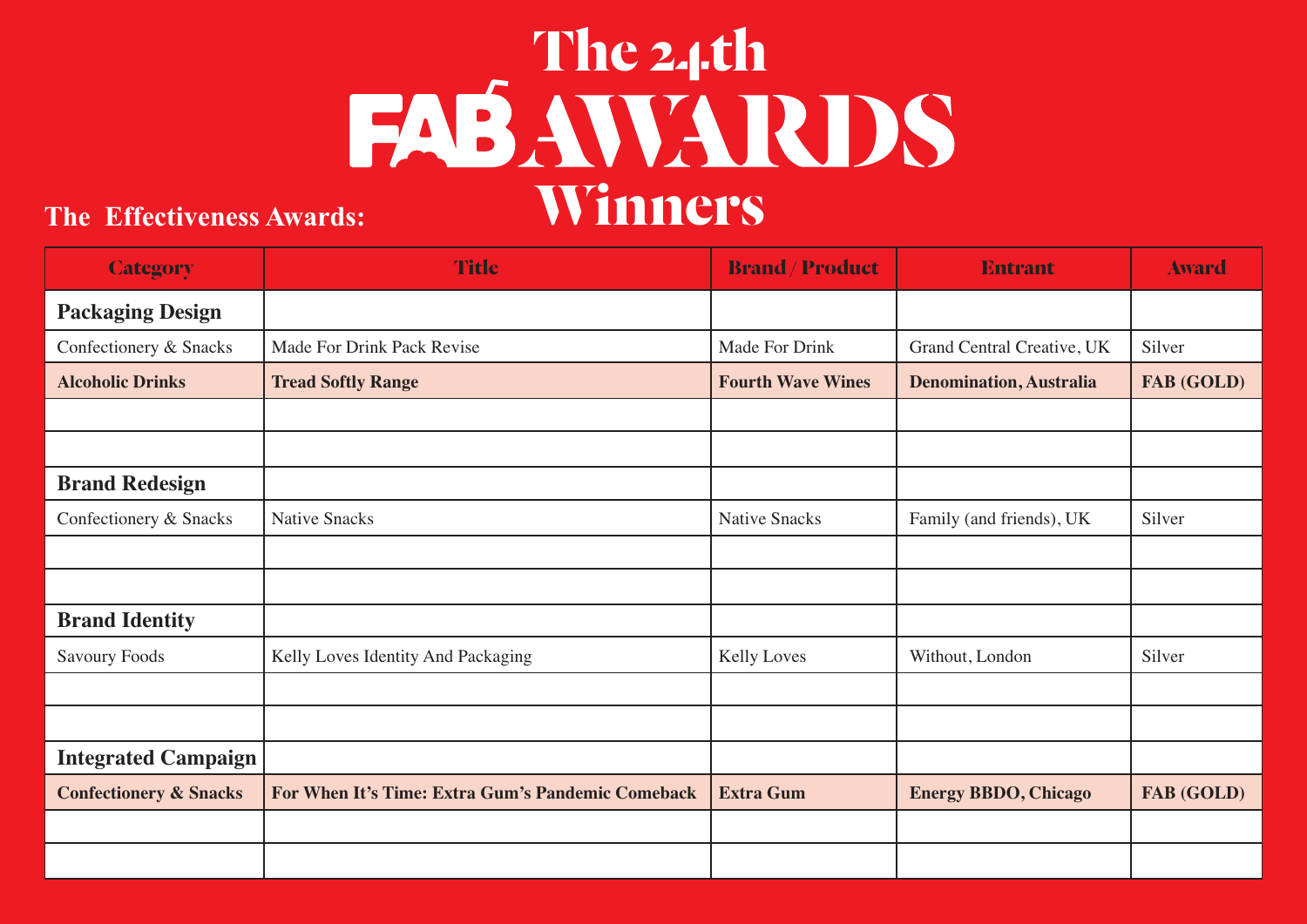# The 24th<br> **FABAWARDS Winners**

#### **The Effectiveness Awards:**

| <b>Category</b>                   | <b>Title</b>                                      | <b>Brand/Product</b>     | <b>Entrant</b>                 | <b>Award</b>      |
|-----------------------------------|---------------------------------------------------|--------------------------|--------------------------------|-------------------|
| <b>Packaging Design</b>           |                                                   |                          |                                |                   |
| Confectionery & Snacks            | Made For Drink Pack Revise                        | Made For Drink           | Grand Central Creative, UK     | Silver            |
| <b>Alcoholic Drinks</b>           | <b>Tread Softly Range</b>                         | <b>Fourth Wave Wines</b> | <b>Denomination, Australia</b> | <b>FAB</b> (GOLD) |
|                                   |                                                   |                          |                                |                   |
|                                   |                                                   |                          |                                |                   |
| <b>Brand Redesign</b>             |                                                   |                          |                                |                   |
| Confectionery & Snacks            | <b>Native Snacks</b>                              | <b>Native Snacks</b>     | Family (and friends), UK       | Silver            |
|                                   |                                                   |                          |                                |                   |
|                                   |                                                   |                          |                                |                   |
| <b>Brand Identity</b>             |                                                   |                          |                                |                   |
| <b>Savoury Foods</b>              | Kelly Loves Identity And Packaging                | <b>Kelly Loves</b>       | Without, London                | Silver            |
|                                   |                                                   |                          |                                |                   |
|                                   |                                                   |                          |                                |                   |
| <b>Integrated Campaign</b>        |                                                   |                          |                                |                   |
| <b>Confectionery &amp; Snacks</b> | For When It's Time: Extra Gum's Pandemic Comeback | <b>Extra Gum</b>         | <b>Energy BBDO, Chicago</b>    | <b>FAB</b> (GOLD) |
|                                   |                                                   |                          |                                |                   |
|                                   |                                                   |                          |                                |                   |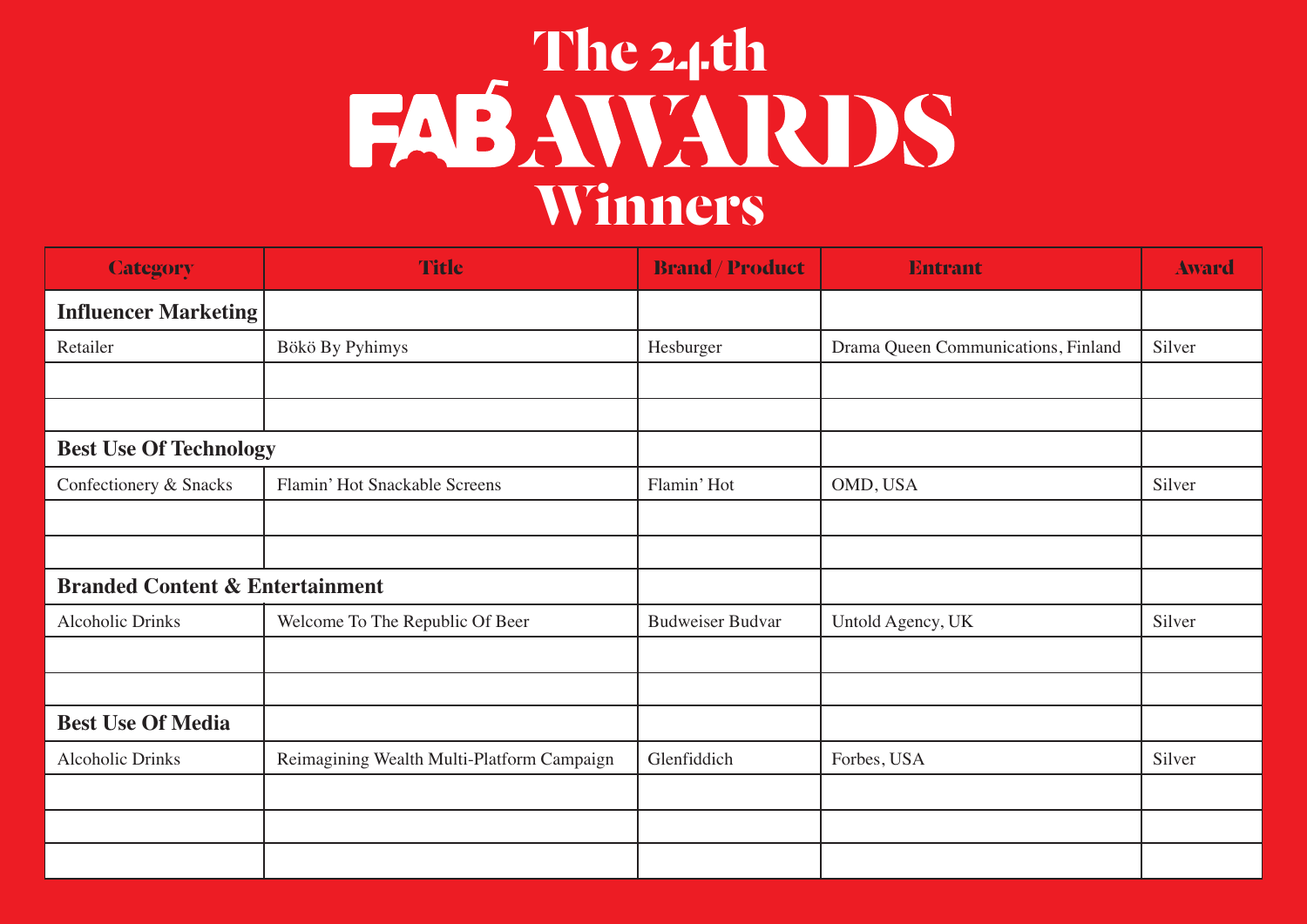### The 24th<br> **FAB AWARDS Winners**

| <b>Category</b>                            | <b>Title</b>                               | <b>Brand/Product</b>    | <b>Entrant</b>                      | <b>Award</b> |
|--------------------------------------------|--------------------------------------------|-------------------------|-------------------------------------|--------------|
| <b>Influencer Marketing</b>                |                                            |                         |                                     |              |
| Retailer                                   | Bökö By Pyhimys                            | Hesburger               | Drama Queen Communications, Finland | Silver       |
|                                            |                                            |                         |                                     |              |
|                                            |                                            |                         |                                     |              |
| <b>Best Use Of Technology</b>              |                                            |                         |                                     |              |
| Confectionery & Snacks                     | Flamin' Hot Snackable Screens              | Flamin' Hot             | OMD, USA                            | Silver       |
|                                            |                                            |                         |                                     |              |
|                                            |                                            |                         |                                     |              |
| <b>Branded Content &amp; Entertainment</b> |                                            |                         |                                     |              |
| <b>Alcoholic Drinks</b>                    | Welcome To The Republic Of Beer            | <b>Budweiser Budvar</b> | Untold Agency, UK                   | Silver       |
|                                            |                                            |                         |                                     |              |
|                                            |                                            |                         |                                     |              |
| <b>Best Use Of Media</b>                   |                                            |                         |                                     |              |
| <b>Alcoholic Drinks</b>                    | Reimagining Wealth Multi-Platform Campaign | Glenfiddich             | Forbes, USA                         | Silver       |
|                                            |                                            |                         |                                     |              |
|                                            |                                            |                         |                                     |              |
|                                            |                                            |                         |                                     |              |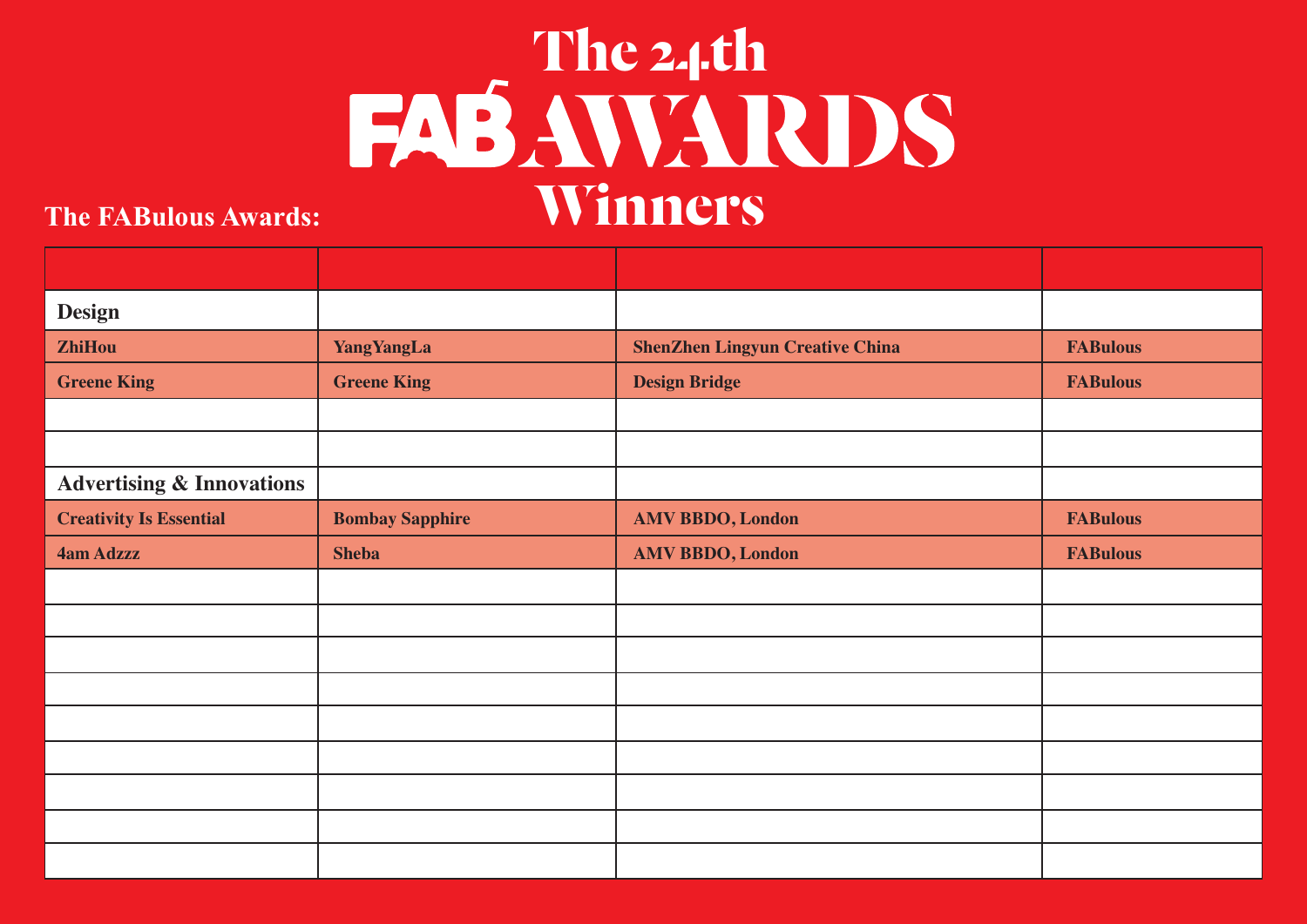### The 24th<br> **FABAWARDS Winners**

#### **The FABulous Awards:**

| <b>Design</b>                        |                        |                                        |                 |
|--------------------------------------|------------------------|----------------------------------------|-----------------|
| <b>ZhiHou</b>                        | <b>YangYangLa</b>      | <b>ShenZhen Lingyun Creative China</b> | <b>FABulous</b> |
| <b>Greene King</b>                   | <b>Greene King</b>     | <b>Design Bridge</b>                   | <b>FABulous</b> |
|                                      |                        |                                        |                 |
|                                      |                        |                                        |                 |
| <b>Advertising &amp; Innovations</b> |                        |                                        |                 |
| <b>Creativity Is Essential</b>       | <b>Bombay Sapphire</b> | <b>AMV BBDO, London</b>                | <b>FABulous</b> |
| <b>4am Adzzz</b>                     | <b>Sheba</b>           | <b>AMV BBDO, London</b>                | <b>FABulous</b> |
|                                      |                        |                                        |                 |
|                                      |                        |                                        |                 |
|                                      |                        |                                        |                 |
|                                      |                        |                                        |                 |
|                                      |                        |                                        |                 |
|                                      |                        |                                        |                 |
|                                      |                        |                                        |                 |
|                                      |                        |                                        |                 |
|                                      |                        |                                        |                 |